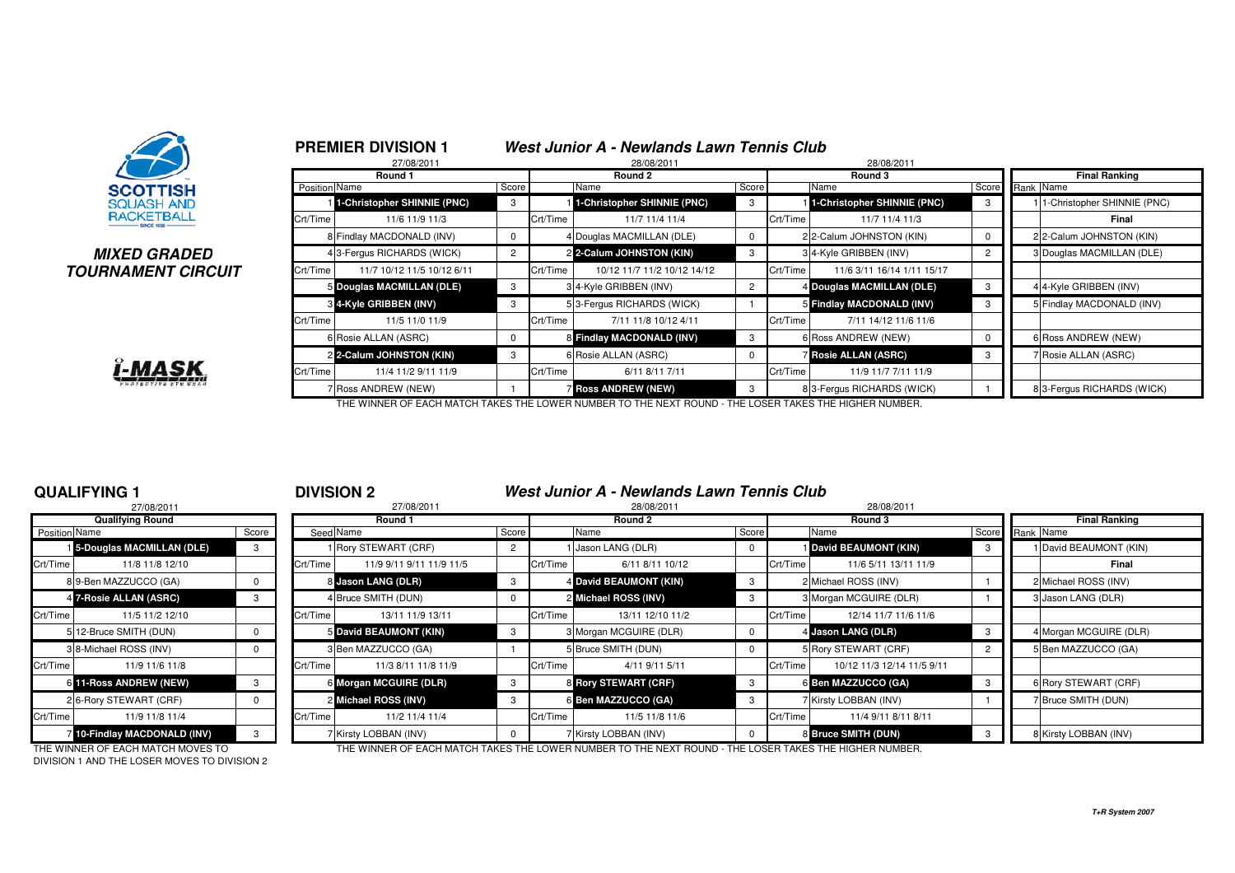

### **MIXED GRADEDTOURNAMENT CIRCUIT**



|               | <b>PREMIER DIVISION 1</b><br>27/08/2011 |                |          | West Junior A - Newlands Lawn Tennis Club<br>28/08/2011 |                |          | 28/08/2011                  |                |                             |
|---------------|-----------------------------------------|----------------|----------|---------------------------------------------------------|----------------|----------|-----------------------------|----------------|-----------------------------|
|               | Round 1                                 |                |          | Round 2                                                 |                |          | Round 3                     |                | <b>Final Ranking</b>        |
| Position Name |                                         | Score          |          | Name                                                    | Score          |          | Name                        | Score          | Rank Name                   |
|               | 1-Christopher SHINNIE (PNC)             | 3              |          | 1-Christopher SHINNIE (PNC)                             | 3              |          | 1-Christopher SHINNIE (PNC) | 3              | 1-Christopher SHINNIE (PNC) |
| Crt/Time      | 11/6 11/9 11/3                          |                | Crt/Time | 11/7 11/4 11/4                                          |                | Crt/Time | 11/7 11/4 11/3              |                | Final                       |
|               | 8 Findlay MACDONALD (INV)               |                |          | 4 Douglas MACMILLAN (DLE)                               | 0              |          | 2 2-Calum JOHNSTON (KIN)    | 0              | 2 2-Calum JOHNSTON (KIN)    |
|               | 4 3-Fergus RICHARDS (WICK)              | $\overline{2}$ |          | 2 2-Calum JOHNSTON (KIN)                                | 3              |          | 3 4-Kyle GRIBBEN (INV)      | $\overline{2}$ | 3 Douglas MACMILLAN (DLE)   |
| Crt/Time      | 11/7 10/12 11/5 10/12 6/11              |                | Crt/Time | 10/12 11/7 11/2 10/12 14/12                             |                | Crt/Time | 11/6 3/11 16/14 1/11 15/17  |                |                             |
|               | 5 Douglas MACMILLAN (DLE)               | 3              |          | 3 4-Kyle GRIBBEN (INV)                                  | $\overline{2}$ |          | 4 Douglas MACMILLAN (DLE)   | 3              | 4 4-Kyle GRIBBEN (INV)      |
|               | 3 4-Kyle GRIBBEN (INV)                  | 3              |          | 53-Fergus RICHARDS (WICK)                               |                |          | 5 Findlay MACDONALD (INV)   | 3              | 5 Findlay MACDONALD (INV)   |
| Crt/Time      | 11/5 11/0 11/9                          |                | Crt/Time | 7/11 11/8 10/12 4/11                                    |                | Crt/Time | 7/11 14/12 11/6 11/6        |                |                             |
|               | 6 Rosie ALLAN (ASRC)                    | $\Omega$       |          | 8 Findlay MACDONALD (INV)                               | 3              |          | 6 Ross ANDREW (NEW)         | 0              | 6 Ross ANDREW (NEW)         |
|               | 2 2-Calum JOHNSTON (KIN)                | 3              |          | 6 Rosie ALLAN (ASRC)                                    | $\Omega$       |          | <b>Rosie ALLAN (ASRC)</b>   | 3              | 7 Rosie ALLAN (ASRC)        |
| Crt/Time      | 11/4 11/2 9/11 11/9                     |                | Crt/Time | 6/11 8/11 7/11                                          |                | Crt/Time | 11/9 11/7 7/11 11/9         |                |                             |
|               | 7 Ross ANDREW (NEW)                     |                |          | <b>7 Ross ANDREW (NEW)</b>                              | 3              |          | 83-Fergus RICHARDS (WICK)   |                | 8 3-Fergus RICHARDS (WICK)  |

THE WINNER OF EACH MATCH TAKES THE LOWER NUMBER TO THE NEXT ROUND - THE LOSER TAKES THE HIGHER NUMBER.

### **QUALIFYING 1**

|                      | 27/08/2011                         |          |          |
|----------------------|------------------------------------|----------|----------|
|                      | <b>Qualifying Round</b>            |          |          |
| <b>Position Name</b> |                                    | Score    | Seed     |
|                      | <b>1</b> 5-Douglas MACMILLAN (DLE) | 3        |          |
| Crt/Time             | 11/8 11/8 12/10                    |          | Crt/Time |
|                      | 89-Ben MAZZUCCO (GA)               | 0        | 8        |
|                      | 4 7-Rosie ALLAN (ASRC)             | 3        | 4        |
| Crt/Time             | 11/5 11/2 12/10                    |          | Crt/Time |
|                      | 5 12-Bruce SMITH (DUN)             | O        | 5        |
|                      | 3 8-Michael ROSS (INV)             | $\Omega$ | 3        |
| Crt/Time             | 11/9 11/6 11/8                     |          | Crt/Time |
|                      | 6 11-Ross ANDREW (NEW)             | 3        | 6        |
|                      | 2 6-Rory STEWART (CRF)             | 0        | 2        |
| Crt/Time             | 11/9 11/8 11/4                     |          | Crt/Time |
|                      | 7 10-Findlay MACDONALD (INV)       | 3        | 7        |

### <sup>1</sup> **DIVISION 2 West Junior A - Newlands Lawn Tennis Club**

|                      | 27/08/2011                   |       |          | 27/08/2011               |    | 28/08/2011<br>28/08/2011 |                        |     |          |                            |       |                        |  |  |
|----------------------|------------------------------|-------|----------|--------------------------|----|--------------------------|------------------------|-----|----------|----------------------------|-------|------------------------|--|--|
|                      | <b>Qualifying Round</b>      |       |          | Round 1                  |    |                          | Round 2                |     |          | Round 3                    |       | <b>Final Ranking</b>   |  |  |
| <b>Position Name</b> |                              | Score |          | Seed Name<br>Score       |    |                          | Name<br>Score          |     | Name     |                            | Score | Rank Name              |  |  |
|                      | 5-Douglas MACMILLAN (DLE)    |       |          | 1 Rory STEWART (CRF)     |    |                          | 1 Jason LANG (DLR)     |     |          | David BEAUMONT (KIN)       |       | 1 David BEAUMONT (KIN) |  |  |
| Crt/Time             | 11/8 11/8 12/10              |       | Crt/Time | 11/9 9/11 9/11 11/9 11/5 |    | Crt/Time                 | 6/11 8/11 10/12        |     | Crt/Time | 11/6 5/11 13/11 11/9       |       | Final                  |  |  |
|                      | 89-Ben MAZZUCCO (GA)         |       |          | 8 Jason LANG (DLR)       |    |                          | 4 David BEAUMONT (KIN) | -3  |          | 2 Michael ROSS (INV)       |       | 2 Michael ROSS (INV)   |  |  |
|                      | 4 7-Rosie ALLAN (ASRC)       |       |          | 4 Bruce SMITH (DUN)      |    |                          | 2 Michael ROSS (INV)   | 3   |          | 3 Morgan MCGUIRE (DLR)     |       | 3 Jason LANG (DLR)     |  |  |
| Crt/Time             | 11/5 11/2 12/10              |       | Crt/Time | 13/11 11/9 13/11         |    | Crt/Time                 | 13/11 12/10 11/2       |     | Crt/Time | 12/14 11/7 11/6 11/6       |       |                        |  |  |
|                      | 5 12-Bruce SMITH (DUN)       |       |          | 5 David BEAUMONT (KIN)   |    |                          | 3 Morgan MCGUIRE (DLR) |     |          | 4 Jason LANG (DLR)         |       | 4 Morgan MCGUIRE (DLR) |  |  |
|                      | 3 8-Michael ROSS (INV)       |       |          | 3 Ben MAZZUCCO (GA)      |    |                          | 5 Bruce SMITH (DUN)    |     |          | 5 Rory STEWART (CRF)       |       | 5 Ben MAZZUCCO (GA)    |  |  |
| Crt/Time             | 11/9 11/6 11/8               |       | Crt/Time | 11/3 8/11 11/8 11/9      |    | Crt/Time                 | 4/11 9/11 5/11         |     | Crt/Time | 10/12 11/3 12/14 11/5 9/11 |       |                        |  |  |
|                      | 6 11-Ross ANDREW (NEW)       |       |          | 6 Morgan MCGUIRE (DLR)   | -3 |                          | 8 Rory STEWART (CRF)   | -3  |          | 6 Ben MAZZUCCO (GA)        |       | 6 Rory STEWART (CRF)   |  |  |
|                      | 26-Rory STEWART (CRF)        |       |          | 2 Michael ROSS (INV)     | -3 |                          | 6 Ben MAZZUCCO (GA)    | - 3 |          | 7 Kirsty LOBBAN (INV)      |       | 7 Bruce SMITH (DUN)    |  |  |
| Crt/Time             | 11/9 11/8 11/4               |       | Crt/Time | 11/2 11/4 11/4           |    | Crt/Time                 | 11/5 11/8 11/6         |     | Crt/Time | 11/4 9/11 8/11 8/11        |       |                        |  |  |
|                      | 7 10-Findlay MACDONALD (INV) |       |          | 7 Kirsty LOBBAN (INV)    |    |                          | 7 Kirsty LOBBAN (INV)  |     |          | 8 Bruce SMITH (DUN)        | -3    | 8 Kirsty LOBBAN (INV)  |  |  |

DIVISION 1 AND THE LOSER MOVES TO DIVISION 2

THE WINNER OF EACH MATCH MOVES TO THE WINNER OF EACH MATCH TAKES THE LOWER NUMBER TO THE NEXT ROUND - THE LOSER TAKES THE HIGHER NUMBER.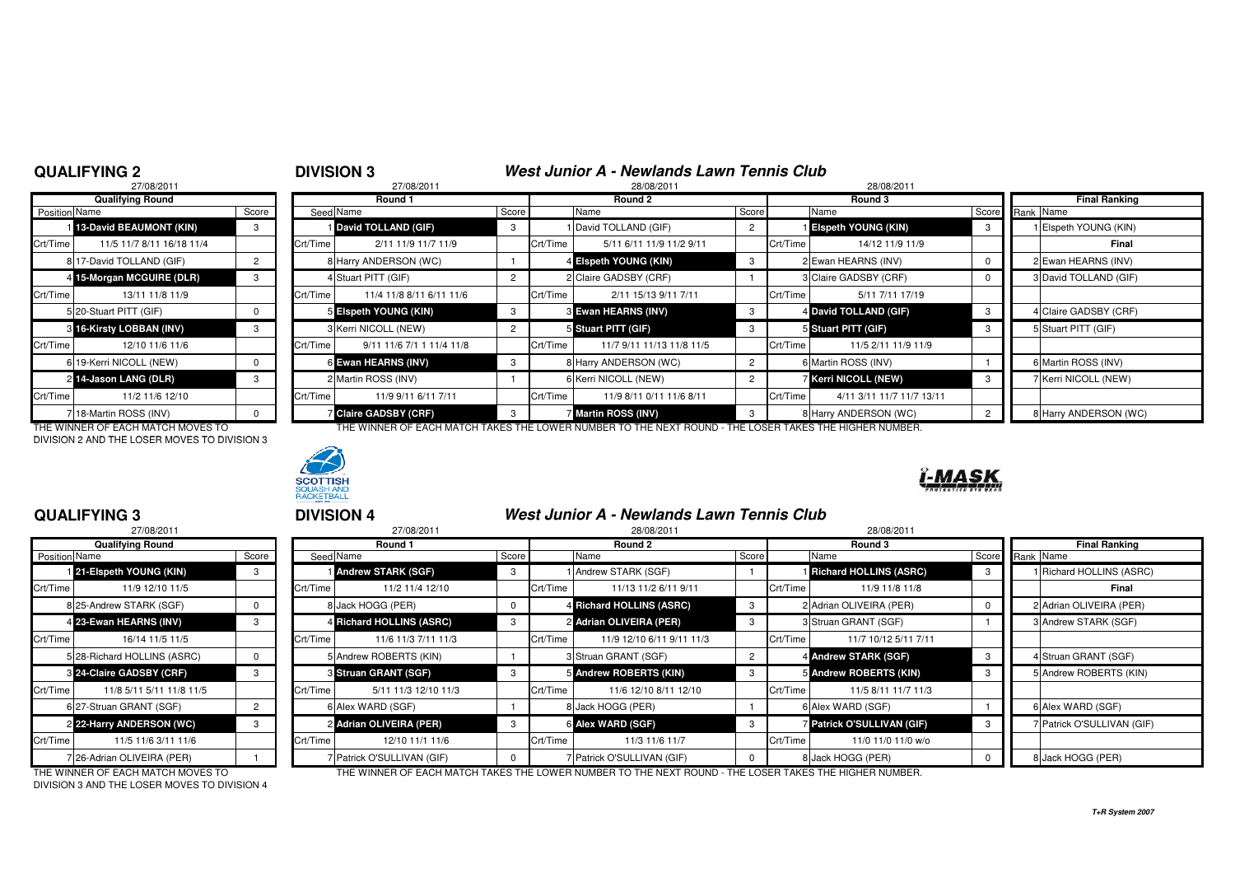### **QUALIFYING 2**

## **DIVISION 3**<br>27/08/2011<br>28/08/2011<br>28/08/2011

|               | 27/08/2011                |                |          | 27/08/2011                 |                | 28/08/2011 |                            |                |          | 28/08/2011                  |  |  |
|---------------|---------------------------|----------------|----------|----------------------------|----------------|------------|----------------------------|----------------|----------|-----------------------------|--|--|
|               | <b>Qualifying Round</b>   |                |          | Round 1                    |                |            | Round 2                    |                |          | Round 3                     |  |  |
| Position Name |                           | Score          |          | Seed Name                  | Score          |            | Name                       | Score          |          | Name                        |  |  |
|               | 13-David BEAUMONT (KIN)   | 3              |          | David TOLLAND (GIF)        | 3              |            | 1 David TOLLAND (GIF)      | $\overline{2}$ |          | <b>Elspeth YOUNG (KIN)</b>  |  |  |
| Crt/Time      | 11/5 11/7 8/11 16/18 11/4 |                | Crt/Time | 2/11 11/9 11/7 11/9        |                | Crt/Time   | 5/11 6/11 11/9 11/2 9/11   |                | Crt/Time | 14/12 11/9 1                |  |  |
|               | 8 17-David TOLLAND (GIF)  | $\overline{2}$ |          | 8 Harry ANDERSON (WC)      |                |            | 4 Elspeth YOUNG (KIN)      | 3              |          | 2 Ewan HEARNS (INV)         |  |  |
|               | 4 15-Morgan MCGUIRE (DLR) | 3              |          | 4 Stuart PITT (GIF)        | 2              |            | 2 Claire GADSBY (CRF)      |                |          | 3 Claire GADSBY (CRF)       |  |  |
| Crt/Time      | 13/11 11/8 11/9           |                | Crt/Time | 11/4 11/8 8/11 6/11 11/6   |                | Crt/Time   | 2/11 15/13 9/11 7/11       |                | Crt/Time | 5/11 7/11 17                |  |  |
|               | 5 20-Stuart PITT (GIF)    | $\Omega$       |          | 5 Elspeth YOUNG (KIN)      | 3              |            | <b>8 Ewan HEARNS (INV)</b> | 3              |          | 4 David TOLLAND (GIF)       |  |  |
|               | 3 16-Kirsty LOBBAN (INV)  | 3              |          | 3 Kerri NICOLL (NEW)       | $\overline{2}$ |            | 5 Stuart PITT (GIF)        | 3              |          | 5 Stuart PITT (GIF)         |  |  |
| Crt/Time      | 12/10 11/6 11/6           |                | Crt/Time | 9/11 11/6 7/1 1 11/4 11/8  |                | Crt/Time   | 11/7 9/11 11/13 11/8 11/5  |                | Crt/Time | 11/5 2/11 11/9              |  |  |
|               | 6 19-Kerri NICOLL (NEW)   | $\Omega$       |          | 6 Ewan HEARNS (INV)        | 3              |            | 8 Harry ANDERSON (WC)      | $\overline{2}$ |          | 6 Martin ROSS (INV)         |  |  |
|               | 2 14-Jason LANG (DLR)     | 3              |          | 2 Martin ROSS (INV)        |                |            | 6 Kerri NICOLL (NEW)       | 2              |          | <b>7 Kerri NICOLL (NEW)</b> |  |  |
| Crt/Time      | 11/2 11/6 12/10           |                | Crt/Time | 11/9 9/11 6/11 7/11        |                | Crt/Time   | 11/9 8/11 0/11 11/6 8/11   |                | Crt/Time | 4/11 3/11 11/7 11           |  |  |
|               | 18-Martin ROSS (INV)      |                |          | <b>Claire GADSBY (CRF)</b> | 3              |            | 7 Martin ROSS (INV)        | 3              |          | 8 Harry ANDERSON (WC        |  |  |

DIVISION 2 AND THE LOSER MOVES TO DIVISION 3



| Qualifying Round |                           |       | Round 1  |                              |       |          | Round 2                   |       |          | Round 3                    |       |  | Final Ranking         |  |  |
|------------------|---------------------------|-------|----------|------------------------------|-------|----------|---------------------------|-------|----------|----------------------------|-------|--|-----------------------|--|--|
| Position Name    |                           | Score |          | Seed Name                    | Score |          | Name                      | Score |          | Name                       | Score |  | Rank Name             |  |  |
|                  | 13-David BEAUMONT (KIN)   |       |          | David TOLLAND (GIF)          |       |          | 1 David TOLLAND (GIF)     |       |          | <b>Elspeth YOUNG (KIN)</b> |       |  | 1 Elspeth YOUNG (KIN) |  |  |
| Crt/Time         | 11/5 11/7 8/11 16/18 11/4 |       | Crt/Time | 2/11 11/9 11/7 11/9          |       | Crt/Time | 5/11 6/11 11/9 11/2 9/11  |       | Crt/Time | 14/12 11/9 11/9            |       |  | Final                 |  |  |
|                  | 8 17-David TOLLAND (GIF)  |       |          | 8 Harry ANDERSON (WC)        |       |          | 4 Elspeth YOUNG (KIN)     |       |          | 2 Ewan HEARNS (INV)        |       |  | 2 Ewan HEARNS (INV)   |  |  |
|                  | 4 15-Morgan MCGUIRE (DLR) |       |          | Stuart PITT (GIF)            |       |          | 2 Claire GADSBY (CRF)     |       |          | 3 Claire GADSBY (CRF)      |       |  | 3 David TOLLAND (GIF) |  |  |
| Crt/Time I       | 13/11 11/8 11/9           |       | Crt/Time | 11/4 11/8 8/11 6/11 11/6     |       | Crt/Time | 2/11 15/13 9/11 7/11      |       | Crt/Time | 5/11 7/11 17/19            |       |  |                       |  |  |
|                  | 5 20-Stuart PITT (GIF)    |       |          | 5 Elspeth YOUNG (KIN)        | 3     |          | 3 Ewan HEARNS (INV)       | -3    |          | 4 David TOLLAND (GIF)      |       |  | 4 Claire GADSBY (CRF) |  |  |
|                  | 3 16-Kirsty LOBBAN (INV)  |       |          | 3 Kerri NICOLL (NEW)         |       |          | 5 Stuart PITT (GIF)       |       |          | 5 Stuart PITT (GIF)        |       |  | 5 Stuart PITT (GIF)   |  |  |
| Crt/Time         | 12/10 11/6 11/6           |       | Crt/Time | 9/11 11/6 7/1 1 11/4 11/8    |       | Crt/Time | 11/7 9/11 11/13 11/8 11/5 |       | Crt/Time | 11/5 2/11 11/9 11/9        |       |  |                       |  |  |
|                  | 6 19-Kerri NICOLL (NEW)   |       |          | 6 Ewan HEARNS (INV)          |       |          | 8 Harry ANDERSON (WC)     |       |          | 6 Martin ROSS (INV)        |       |  | 6 Martin ROSS (INV)   |  |  |
|                  | 2 14-Jason LANG (DLR)     |       |          | 2 Martin ROSS (INV)          |       |          | 6 Kerri NICOLL (NEW)      |       |          | <b>Kerri NICOLL (NEW)</b>  |       |  | 7 Kerri NICOLL (NEW)  |  |  |
| Crt/Time I       | 11/2 11/6 12/10           |       | Crt/Time | 11/9 9/11 6/11 7/11          |       | Crt/Time | 11/9 8/11 0/11 11/6 8/11  |       | Crt/Time | 4/11 3/11 11/7 11/7 13/11  |       |  |                       |  |  |
|                  | 718-Martin ROSS (INV)     |       |          | <b>Z</b> Claire GADSBY (CRF) |       |          | 7 Martin ROSS (INV)       |       |          | 8 Harry ANDERSON (WC)      |       |  | 8 Harry ANDERSON (WC) |  |  |

THE WINNER OF EACH MATCH MOVES TO THE THE WINNER OF EACH MATCH TAKES THE LOWER NUMBER TO THE NEXT ROUND - THE LOSER TAKES THE HIGHER NUMBER.



### **QUALIFYING 3**

|                      | 27/08/2011                  |       |          |
|----------------------|-----------------------------|-------|----------|
|                      | <b>Qualifying Round</b>     |       |          |
| <b>Position Name</b> |                             | Score | Seed     |
|                      | 121-Elspeth YOUNG (KIN)     | 3     |          |
| Crt/Time             | 11/9 12/10 11/5             |       | Crt/Time |
|                      | 8 25-Andrew STARK (SGF)     | 0     | 8        |
|                      | 4 23-Ewan HEARNS (INV)      | 3     | 4        |
| Crt/Time             | 16/14 11/5 11/5             |       | Crt/Time |
|                      | 5 28-Richard HOLLINS (ASRC) | 0     | 5        |
|                      | 3 24-Claire GADSBY (CRF)    | 3     | 3        |
| Crt/Time             | 11/8 5/11 5/11 11/8 11/5    |       | Crt/Time |
|                      | 6 27-Struan GRANT (SGF)     | 2     | 6        |
|                      | 2 22-Harry ANDERSON (WC)    | 3     | 2        |
| Crt/Time             | 11/5 11/6 3/11 11/6         |       | Crt/Time |
|                      | 7 26-Adrian OLIVEIRA (PER)  |       |          |

<sup>3</sup> **DIVISION 4 West Junior A - Newlands Lawn Tennis Club**

|               | 27/08/2011                        |       | 27/08/2011 |                             |       | 28/08/2011 |                                                                                                        |       | 28/08/2011 |                                 |       |                            |
|---------------|-----------------------------------|-------|------------|-----------------------------|-------|------------|--------------------------------------------------------------------------------------------------------|-------|------------|---------------------------------|-------|----------------------------|
|               | <b>Qualifying Round</b>           |       | Round 1    |                             |       | Round 2    |                                                                                                        |       |            | Round 3                         |       | <b>Final Ranking</b>       |
| Position Name |                                   | Score |            | Seed Name                   | Score |            | Name                                                                                                   | Score |            | Name                            | Score | Rank Name                  |
|               | 21-Elspeth YOUNG (KIN)            |       |            | <b>Andrew STARK (SGF)</b>   |       |            | 1 Andrew STARK (SGF)                                                                                   |       |            | <b>Richard HOLLINS (ASRC)</b>   |       | 1 Richard HOLLINS (ASRC)   |
| Crt/Time      | 11/9 12/10 11/5                   |       | Crt/Time   | 11/2 11/4 12/10             |       | Crt/Time   | 11/13 11/2 6/11 9/11                                                                                   |       | Crt/Time   | 11/9 11/8 11/8                  |       | Final                      |
|               | 8 25-Andrew STARK (SGF)           |       |            | 8 Jack HOGG (PER)           |       |            | 4 Richard HOLLINS (ASRC)                                                                               | 3     |            | 2 Adrian OLIVEIRA (PER)         |       | 2 Adrian OLIVEIRA (PER)    |
|               | 4 23-Ewan HEARNS (INV)            |       |            | 4 Richard HOLLINS (ASRC)    |       |            | 2 Adrian OLIVEIRA (PER)                                                                                |       |            | 3 Struan GRANT (SGF)            |       | 3 Andrew STARK (SGF)       |
| Crt/Time      | 16/14 11/5 11/5                   |       | Crt/Time   | 11/6 11/3 7/11 11/3         |       | Crt/Time   | 11/9 12/10 6/11 9/11 11/3                                                                              |       | Crt/Time   | 11/7 10/12 5/11 7/11            |       |                            |
|               | 5 28-Richard HOLLINS (ASRC)       |       |            | 5 Andrew ROBERTS (KIN)      |       |            | 3 Struan GRANT (SGF)                                                                                   |       |            | 4 Andrew STARK (SGF)            |       | 4 Struan GRANT (SGF)       |
|               | 3 24-Claire GADSBY (CRF)          |       |            | <b>8 Struan GRANT (SGF)</b> |       |            | 5 Andrew ROBERTS (KIN)                                                                                 |       |            | 5 Andrew ROBERTS (KIN)          |       | 5 Andrew ROBERTS (KIN)     |
| Crt/Time      | 11/8 5/11 5/11 11/8 11/5          |       | Crt/Time   | 5/11 11/3 12/10 11/3        |       | Crt/Time   | 11/6 12/10 8/11 12/10                                                                                  |       | Crt/Time   | 11/5 8/11 11/7 11/3             |       |                            |
|               | 6 27-Struan GRANT (SGF)           |       |            | 6 Alex WARD (SGF)           |       |            | Jack HOGG (PER)                                                                                        |       |            | 6 Alex WARD (SGF)               |       | 6 Alex WARD (SGF)          |
|               | 2 22-Harry ANDERSON (WC)          |       |            | 2 Adrian OLIVEIRA (PER)     | -3    |            | 6 Alex WARD (SGF)                                                                                      |       |            | <b>Patrick O'SULLIVAN (GIF)</b> |       | 7 Patrick O'SULLIVAN (GIF) |
| Crt/Time      | 11/5 11/6 3/11 11/6               |       | Crt/Time   | 12/10 11/1 11/6             |       | Crt/Time   | 11/3 11/6 11/7                                                                                         |       | Crt/Time   | 11/0 11/0 11/0 w/o              |       |                            |
|               | 726-Adrian OLIVEIRA (PER)         |       |            | 7 Patrick O'SULLIVAN (GIF)  |       |            | 7 Patrick O'SULLIVAN (GIF)                                                                             |       |            | 8 Jack HOGG (PER)               |       | 8 Jack HOGG (PER)          |
|               | THE WINNER OF FACU MATCH MOVES TO |       |            |                             |       |            | THE WINNER OF EACH MATCH TAIZER THE LOWER NUMBER TO THE NEVT ROUND. THE LORER TAIZER THE HIGHER NUMBER |       |            |                                 |       |                            |

DIVISION 3 AND THE LOSER MOVES TO DIVISION 4

THE WINNER OF EACH MATCH MOVES TO THE WINNER OF EACH MATCH TAKES THE LOWER NUMBER TO THE NEXT ROUND - THE LOSER TAKES THE HIGHER NUMBER.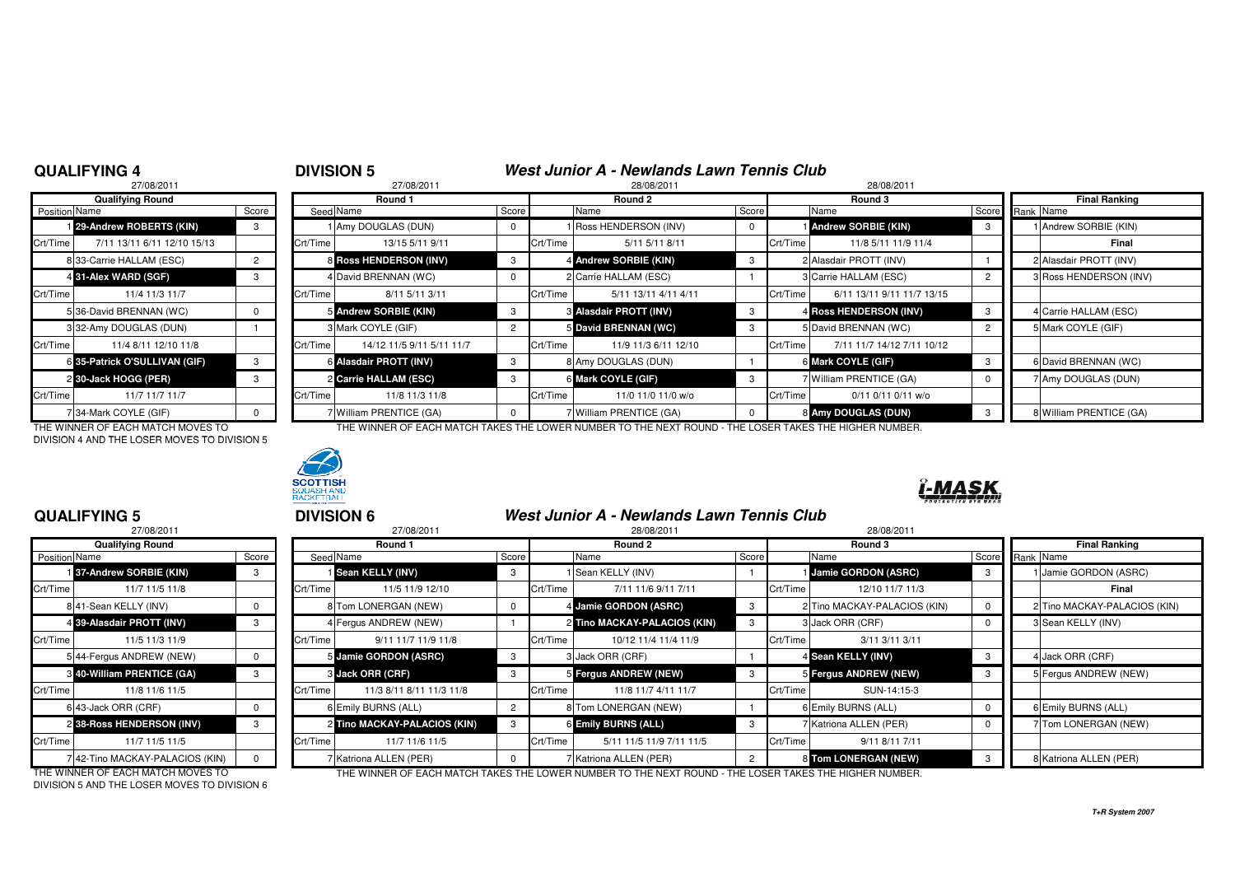### **QUALIFYING 4**

# **DIVISION 5**<br>27/08/2011<br>28/08/2011<br>28/08/2011

|               | 27/08/2011                    |                |          | 27/08/2011                |                |          | 28/08/2011                    |             | 28/08/2011 |                            |  |
|---------------|-------------------------------|----------------|----------|---------------------------|----------------|----------|-------------------------------|-------------|------------|----------------------------|--|
|               | <b>Qualifying Round</b>       |                |          | Round 1                   |                |          | Round 2                       |             |            | Round 3                    |  |
| Position Name |                               | Score          |          | Seed Name                 | Score          |          | Name                          | Score       |            | Name                       |  |
|               | 29-Andrew ROBERTS (KIN)       | 3              |          | Amy DOUGLAS (DUN)         | 0              |          | 1 Ross HENDERSON (INV)        | $\mathbf 0$ |            | <b>Andrew SORBIE (KIN)</b> |  |
| Crt/Time      | 7/11 13/11 6/11 12/10 15/13   |                | Crt/Time | 13/15 5/11 9/11           |                | Crt/Time | 5/11 5/11 8/11                |             | Crt/Time   | 11/8 5/11 11/9             |  |
|               | 833-Carrie HALLAM (ESC)       | $\overline{2}$ |          | 8 Ross HENDERSON (INV)    | 3              |          | 4 Andrew SORBIE (KIN)         | 3           |            | 2 Alasdair PROTT (INV)     |  |
|               | 4 31-Alex WARD (SGF)          | 3              |          | 4 David BRENNAN (WC)      | $\Omega$       |          | 2 Carrie HALLAM (ESC)         |             |            | 3 Carrie HALLAM (ESC)      |  |
| Crt/Time      | 11/4 11/3 11/7                |                | Crt/Time | 8/11 5/11 3/11            |                | Crt/Time | 5/11 13/11 4/11 4/11          |             | Crt/Time   | 6/11 13/11 9/11 11         |  |
|               | 5 36-David BRENNAN (WC)       | $\Omega$       |          | 5 Andrew SORBIE (KIN)     | 3              |          | <b>8 Alasdair PROTT (INV)</b> | 3           |            | 4 Ross HENDERSON (IN       |  |
|               | 332-Amy DOUGLAS (DUN)         |                |          | 3 Mark COYLE (GIF)        | $\overline{2}$ |          | 5 David BRENNAN (WC)          | 3           |            | 5 David BRENNAN (WC)       |  |
| Crt/Time      | 11/4 8/11 12/10 11/8          |                | Crt/Time | 14/12 11/5 9/11 5/11 11/7 |                | Crt/Time | 11/9 11/3 6/11 12/10          |             | Crt/Time   | 7/11 11/7 14/12 7/         |  |
|               | 6 35-Patrick O'SULLIVAN (GIF) | 3              |          | 6 Alasdair PROTT (INV)    | 3              |          | 8 Amy DOUGLAS (DUN)           |             |            | 6 Mark COYLE (GIF)         |  |
|               | 2 30-Jack HOGG (PER)          | 3              |          | 2 Carrie HALLAM (ESC)     | 3              |          | 6 Mark COYLE (GIF)            | 3           |            | 7 William PRENTICE (GA     |  |
| Crt/Time      | 11/7 11/7 11/7                |                | Crt/Time | 11/8 11/3 11/8            |                | Crt/Time | 11/0 11/0 11/0 w/o            |             | Crt/Time   | 0/11 0/11 0/11             |  |
|               | 7 34-Mark COYLE (GIF)         | $\Omega$       |          | 7 William PRENTICE (GA)   | $\Omega$       |          | 7 William PRENTICE (GA)       | $\Omega$    |            | 8 Amy DOUGLAS (DUN)        |  |

DIVISION 4 AND THE LOSER MOVES TO DIVISION 5

 $27.77$ 



| <b>Qualifying Round</b> |                               |       | Round 1  |                           | Round 2 |          |                                   | Round 3 |          |                            |                 | <b>Final Ranking</b> |                         |  |
|-------------------------|-------------------------------|-------|----------|---------------------------|---------|----------|-----------------------------------|---------|----------|----------------------------|-----------------|----------------------|-------------------------|--|
| <b>Position Name</b>    |                               | Score |          | Seed Name                 | Score   |          | Name                              | Score   |          | Name                       | Score Rank Name |                      |                         |  |
|                         | 29-Andrew ROBERTS (KIN)       |       |          | 1 Amy DOUGLAS (DUN)       |         |          | Ross HENDERSON (INV)              |         |          | <b>Andrew SORBIE (KIN)</b> |                 |                      | 1 Andrew SORBIE (KIN)   |  |
| Crt/Time                | 7/11 13/11 6/11 12/10 15/13   |       | Crt/Time | 13/15 5/11 9/11           |         | Crt/Time | 5/11 5/11 8/11                    |         | Crt/Time | 11/8 5/11 11/9 11/4        |                 |                      | Final                   |  |
|                         | 8 33-Carrie HALLAM (ESC)      |       |          | 8 Ross HENDERSON (INV)    |         |          | 4 Andrew SORBIE (KIN)             |         |          | 2 Alasdair PROTT (INV)     |                 |                      | 2 Alasdair PROTT (INV)  |  |
|                         | 4 31-Alex WARD (SGF)          |       |          | 4 David BRENNAN (WC)      |         |          | 2 Carrie HALLAM (ESC)             |         |          | 3 Carrie HALLAM (ESC)      |                 |                      | 3 Ross HENDERSON (INV)  |  |
| Crt/Time                | 11/4 11/3 11/7                |       | Crt/Time | 8/11 5/11 3/11            |         | Crt/Time | 5/11 13/11 4/11 4/11              |         | Crt/Time | 6/11 13/11 9/11 11/7 13/15 |                 |                      |                         |  |
|                         | 536-David BRENNAN (WC)        |       |          | 5 Andrew SORBIE (KIN)     |         |          | <b>&amp; Alasdair PROTT (INV)</b> |         |          | 4 Ross HENDERSON (INV)     |                 |                      | 4 Carrie HALLAM (ESC)   |  |
|                         | 332-Amy DOUGLAS (DUN)         |       |          | 3 Mark COYLE (GIF)        |         |          | <b>5</b> David BRENNAN (WC)       |         |          | David BRENNAN (WC)         |                 |                      | 5 Mark COYLE (GIF)      |  |
| Crt/Time I              | 11/4 8/11 12/10 11/8          |       | Crt/Time | 14/12 11/5 9/11 5/11 11/7 |         | Crt/Time | 11/9 11/3 6/11 12/10              |         | Crt/Time | 7/11 11/7 14/12 7/11 10/12 |                 |                      |                         |  |
|                         | 6 35-Patrick O'SULLIVAN (GIF) |       |          | 6 Alasdair PROTT (INV)    |         |          | 8 Amy DOUGLAS (DUN)               |         |          | 6 Mark COYLE (GIF)         |                 |                      | 6 David BRENNAN (WC)    |  |
|                         | 2 30-Jack HOGG (PER)          |       |          | 2 Carrie HALLAM (ESC)     |         |          | 6 Mark COYLE (GIF)                |         |          | William PRENTICE (GA)      |                 |                      | 7 Amy DOUGLAS (DUN)     |  |
| Crt/Time                | 11/7 11/7 11/7                |       | Crt/Time | 11/8 11/3 11/8            |         | Crt/Time | 11/0 11/0 11/0 w/o                |         | Crt/Time | 0/11 0/11 0/11 w/o         |                 |                      |                         |  |
|                         | 734-Mark COYLE (GIF)          |       |          | / William PRENTICE (GA)   |         |          | 7 William PRENTICE (GA)           |         |          | 8 Amy DOUGLAS (DUN)        |                 |                      | 8 William PRENTICE (GA) |  |

THE WINNER OF EACH MATCH MOVES TO THE WINNER OF EACH MATCH TAKES THE LOWER NUMBER TO THE NEXT ROUND - THE LOSER TAKES THE HIGHER NUMBER.



### **QUALIFYING 5**

|                      | 27/08/2011                        |          |          | 27/08/201              |
|----------------------|-----------------------------------|----------|----------|------------------------|
|                      | <b>Qualifying Round</b>           |          |          | Round 1                |
| <b>Position Name</b> |                                   | Score    |          | Seed Name              |
|                      | 137-Andrew SORBIE (KIN)           | 3        |          | 1 Sean KELLY (INV)     |
| Crt/Time             | 11/7 11/5 11/8                    |          | Crt/Time | 11/5 11/9 1:           |
|                      | 841-Sean KELLY (INV)              | 0        |          | 8 Tom LONERGAN (NET    |
|                      | 4 39-Alasdair PROTT (INV)         | 3        |          | 4 Fergus ANDREW (NE)   |
| Crt/Time             | 11/5 11/3 11/9                    |          | Crt/Time | $9/11$ 11/7 11/        |
|                      | 5 44-Fergus ANDREW (NEW)          | 0        |          | 5 Jamie GORDON (ASF    |
|                      | <b>8 40-William PRENTICE (GA)</b> | 3        |          | 3 Jack ORR (CRF)       |
| Crt/Time             | 11/8 11/6 11/5                    |          | Crt/Time | 11/3 8/11 8/11 1       |
|                      | 6 43-Jack ORR (CRF)               | $\Omega$ |          | 6 Emily BURNS (ALL)    |
|                      | 2 38-Ross HENDERSON (INV)         | 3        |          | 2 Tino MACKAY-PALAO    |
| Crt/Time             | 11/7 11/5 11/5                    |          | Crt/Time | 11/7 11/6 1            |
|                      | 7 42-Tino MACKAY-PALACIOS (KIN)   | $\Omega$ |          | 7 Katriona ALLEN (PER) |

|               | 27/08/2011<br>27/08/2011          |       |          |                              |       | 28/08/2011 |                                                                                                      |                |          | 28/08/2011                   |       |                      |                              |
|---------------|-----------------------------------|-------|----------|------------------------------|-------|------------|------------------------------------------------------------------------------------------------------|----------------|----------|------------------------------|-------|----------------------|------------------------------|
|               | <b>Qualifying Round</b>           |       |          | Round 1                      |       |            | Round 2                                                                                              | Round 3        |          |                              |       | <b>Final Ranking</b> |                              |
| Position Name |                                   | Score |          | Seed Name                    | Score |            | Name                                                                                                 | Score          |          | Name                         | Score | Rank Name            |                              |
|               | 137-Andrew SORBIE (KIN)           | 3     |          | <b>Sean KELLY (INV)</b>      |       |            | 1 Sean KELLY (INV)                                                                                   |                |          | <b>Jamie GORDON (ASRC)</b>   |       |                      | 1 Jamie GORDON (ASRC)        |
| Crt/Time      | 11/7 11/5 11/8                    |       | Crt/Time | 11/5 11/9 12/10              |       | Crt/Time   | 7/11 11/6 9/11 7/11                                                                                  |                | Crt/Time | 12/10 11/7 11/3              |       |                      | Final                        |
|               | 841-Sean KELLY (INV)              |       |          | 8 Tom LONERGAN (NEW)         |       |            | 4 Jamie GORDON (ASRC)                                                                                | -3             |          | 2 Tino MACKAY-PALACIOS (KIN) |       |                      | 2 Tino MACKAY-PALACIOS (KIN) |
|               | 4 39-Alasdair PROTT (INV)         | 3     |          | 4 Fergus ANDREW (NEW)        |       |            | 2 Tino MACKAY-PALACIOS (KIN)                                                                         | 3              |          | 3 Jack ORR (CRF)             |       |                      | 3 Sean KELLY (INV)           |
| Crt/Time      | 11/5 11/3 11/9                    |       | Crt/Time | 9/11 11/7 11/9 11/8          |       | Crt/Time   | 10/12 11/4 11/4 11/9                                                                                 |                | Crt/Time | 3/11 3/11 3/11               |       |                      |                              |
|               | 5 44-Fergus ANDREW (NEW)          |       |          | 5 Jamie GORDON (ASRC)        |       |            | 3 Jack ORR (CRF)                                                                                     |                |          | 4 Sean KELLY (INV)           | -3    |                      | 4 Jack ORR (CRF)             |
|               | <b>8 40-William PRENTICE (GA)</b> | 3     |          | <b>3 Jack ORR (CRF)</b>      |       |            | 5 Fergus ANDREW (NEW)                                                                                | -3             |          | 5 Fergus ANDREW (NEW)        |       |                      | 5 Fergus ANDREW (NEW)        |
| Crt/Time      | 11/8 11/6 11/5                    |       | Crt/Time | 11/3 8/11 8/11 11/3 11/8     |       | Crt/Time   | 11/8 11/7 4/11 11/7                                                                                  |                | Crt/Time | SUN-14:15-3                  |       |                      |                              |
|               | 6 43-Jack ORR (CRF)               |       |          | 6 Emily BURNS (ALL)          |       |            | 8 Tom LONERGAN (NEW)                                                                                 |                |          | 6 Emily BURNS (ALL)          |       |                      | 6 Emily BURNS (ALL)          |
|               | 2 38-Ross HENDERSON (INV)         | 3     |          | 2 Tino MACKAY-PALACIOS (KIN) |       |            | 6 Emily BURNS (ALL)                                                                                  | 3              |          | 7 Katriona ALLEN (PER)       |       |                      | 7 Tom LONERGAN (NEW)         |
| Crt/Time      | 11/7 11/5 11/5                    |       | Crt/Time | 11/7 11/6 11/5               |       | Crt/Time   | 5/11 11/5 11/9 7/11 11/5                                                                             |                | Crt/Time | 9/11 8/11 7/11               |       |                      |                              |
|               | 742-Tino MACKAY-PALACIOS (KIN)    |       |          | 7 Katriona ALLEN (PER)       |       |            | 7 Katriona ALLEN (PER)                                                                               | $\overline{2}$ |          | 8 Tom LONERGAN (NEW)         |       |                      | 8 Katriona ALLEN (PER)       |
|               | THE WINNER OF EACH MATCH MOVES TO |       |          |                              |       |            | THE WINNER OF EACH MATCH TAKES THE LOWER NUMBER TO THE NEVT ROUND. THE LOSER TAKES THE HIGHER NUMBER |                |          |                              |       |                      |                              |

DIVISION 5 AND THE LOSER MOVES TO DIVISION 6

THE WINNER OF EACH MATCH MOVES TO THE WINNER OF EACH MATCH TAKES THE LOWER NUMBER TO THE NEXT ROUND - THE LOSER TAKES THE HIGHER NUMBER.

**T+R System 2007**